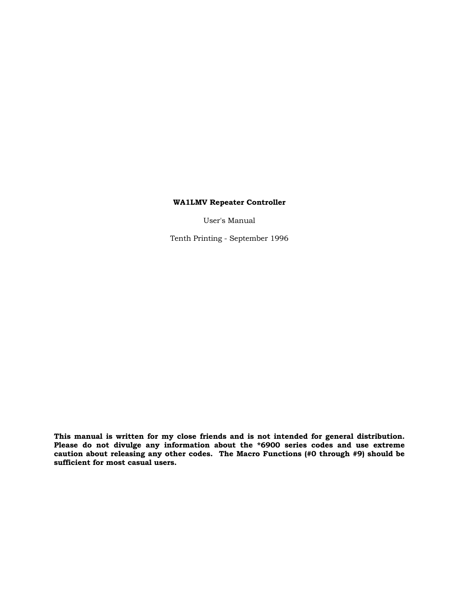## **WA1LMV Repeater Controller**

User's Manual

Tenth Printing - September 1996

**This manual is written for my close friends and is not intended for general distribution. Please do not divulge any information about the \*6900 series codes and use extreme caution about releasing any other codes. The Macro Functions (#0 through #9) should be sufficient for most casual users.**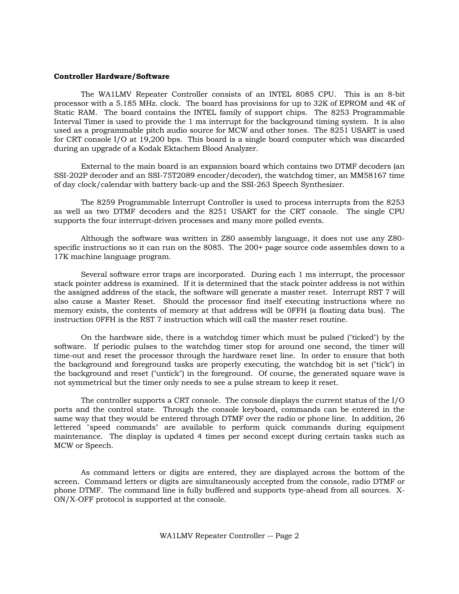#### **Controller Hardware/Software**

 The WA1LMV Repeater Controller consists of an INTEL 8085 CPU. This is an 8-bit processor with a 5.185 MHz. clock. The board has provisions for up to 32K of EPROM and 4K of Static RAM. The board contains the INTEL family of support chips. The 8253 Programmable Interval Timer is used to provide the 1 ms interrupt for the background timing system. It is also used as a programmable pitch audio source for MCW and other tones. The 8251 USART is used for CRT console I/O at 19,200 bps. This board is a single board computer which was discarded during an upgrade of a Kodak Ektachem Blood Analyzer.

 External to the main board is an expansion board which contains two DTMF decoders (an SSI-202P decoder and an SSI-75T2089 encoder/decoder), the watchdog timer, an MM58167 time of day clock/calendar with battery back-up and the SSI-263 Speech Synthesizer.

 The 8259 Programmable Interrupt Controller is used to process interrupts from the 8253 as well as two DTMF decoders and the 8251 USART for the CRT console. The single CPU supports the four interrupt-driven processes and many more polled events.

 Although the software was written in Z80 assembly language, it does not use any Z80 specific instructions so it can run on the 8085. The 200+ page source code assembles down to a 17K machine language program.

 Several software error traps are incorporated. During each 1 ms interrupt, the processor stack pointer address is examined. If it is determined that the stack pointer address is not within the assigned address of the stack, the software will generate a master reset. Interrupt RST 7 will also cause a Master Reset. Should the processor find itself executing instructions where no memory exists, the contents of memory at that address will be 0FFH (a floating data bus). The instruction 0FFH is the RST 7 instruction which will call the master reset routine.

 On the hardware side, there is a watchdog timer which must be pulsed ("ticked") by the software. If periodic pulses to the watchdog timer stop for around one second, the timer will time-out and reset the processor through the hardware reset line. In order to ensure that both the background and foreground tasks are properly executing, the watchdog bit is set ("tick") in the background and reset ("untick") in the foreground. Of course, the generated square wave is not symmetrical but the timer only needs to see a pulse stream to keep it reset.

 The controller supports a CRT console. The console displays the current status of the I/O ports and the control state. Through the console keyboard, commands can be entered in the same way that they would be entered through DTMF over the radio or phone line. In addition, 26 lettered "speed commands" are available to perform quick commands during equipment maintenance. The display is updated 4 times per second except during certain tasks such as MCW or Speech.

 As command letters or digits are entered, they are displayed across the bottom of the screen. Command letters or digits are simultaneously accepted from the console, radio DTMF or phone DTMF. The command line is fully buffered and supports type-ahead from all sources. X-ON/X-OFF protocol is supported at the console.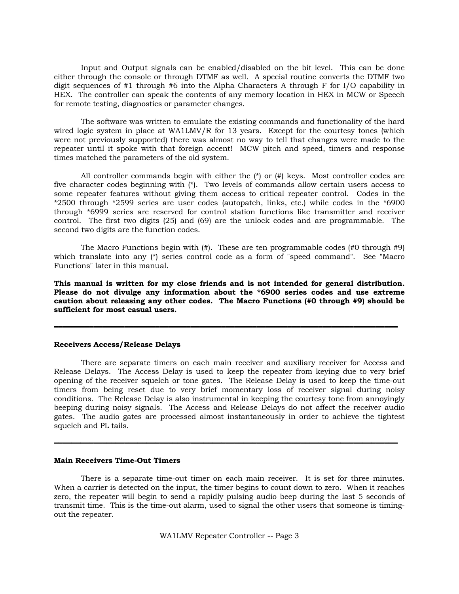Input and Output signals can be enabled/disabled on the bit level. This can be done either through the console or through DTMF as well. A special routine converts the DTMF two digit sequences of #1 through #6 into the Alpha Characters A through F for I/O capability in HEX. The controller can speak the contents of any memory location in HEX in MCW or Speech for remote testing, diagnostics or parameter changes.

 The software was written to emulate the existing commands and functionality of the hard wired logic system in place at WA1LMV/R for 13 years. Except for the courtesy tones (which were not previously supported) there was almost no way to tell that changes were made to the repeater until it spoke with that foreign accent! MCW pitch and speed, timers and response times matched the parameters of the old system.

All controller commands begin with either the  $(*)$  or  $(*)$  keys. Most controller codes are five character codes beginning with (\*). Two levels of commands allow certain users access to some repeater features without giving them access to critical repeater control. Codes in the \*2500 through \*2599 series are user codes (autopatch, links, etc.) while codes in the \*6900 through \*6999 series are reserved for control station functions like transmitter and receiver control. The first two digits (25) and (69) are the unlock codes and are programmable. The second two digits are the function codes.

 The Macro Functions begin with (#). These are ten programmable codes (#0 through #9) which translate into any (\*) series control code as a form of "speed command". See "Macro Functions" later in this manual.

**This manual is written for my close friends and is not intended for general distribution. Please do not divulge any information about the \*6900 series codes and use extreme caution about releasing any other codes. The Macro Functions (#0 through #9) should be sufficient for most casual users.**

══════════════════════════════════════════════════════════════════════════════

#### **Receivers Access/Release Delays**

 There are separate timers on each main receiver and auxiliary receiver for Access and Release Delays. The Access Delay is used to keep the repeater from keying due to very brief opening of the receiver squelch or tone gates. The Release Delay is used to keep the time-out timers from being reset due to very brief momentary loss of receiver signal during noisy conditions. The Release Delay is also instrumental in keeping the courtesy tone from annoyingly beeping during noisy signals. The Access and Release Delays do not affect the receiver audio gates. The audio gates are processed almost instantaneously in order to achieve the tightest squelch and PL tails.

══════════════════════════════════════════════════════════════════════════════

#### **Main Receivers Time-Out Timers**

 There is a separate time-out timer on each main receiver. It is set for three minutes. When a carrier is detected on the input, the timer begins to count down to zero. When it reaches zero, the repeater will begin to send a rapidly pulsing audio beep during the last 5 seconds of transmit time. This is the time-out alarm, used to signal the other users that someone is timingout the repeater.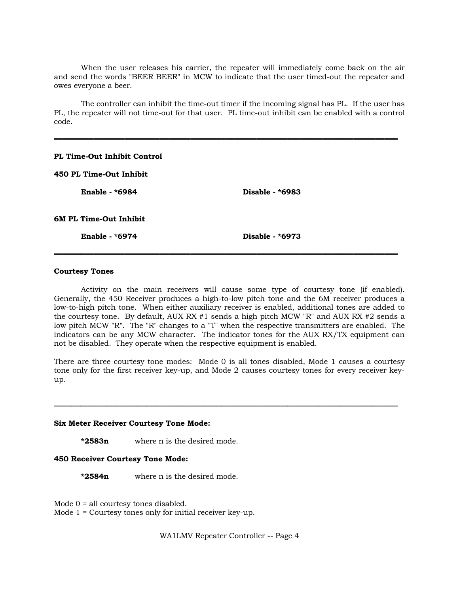When the user releases his carrier, the repeater will immediately come back on the air and send the words "BEER BEER" in MCW to indicate that the user timed-out the repeater and owes everyone a beer.

 The controller can inhibit the time-out timer if the incoming signal has PL. If the user has PL, the repeater will not time-out for that user. PL time-out inhibit can be enabled with a control code.

══════════════════════════════════════════════════════════════════════════════

| Enable - *6974              | Disable - *6973   |  |
|-----------------------------|-------------------|--|
| 6M PL Time-Out Inhibit      |                   |  |
| <b>Enable - *6984</b>       | Disable - $*6983$ |  |
| 450 PL Time-Out Inhibit     |                   |  |
| PL Time-Out Inhibit Control |                   |  |

## **Courtesy Tones**

 Activity on the main receivers will cause some type of courtesy tone (if enabled). Generally, the 450 Receiver produces a high-to-low pitch tone and the 6M receiver produces a low-to-high pitch tone. When either auxiliary receiver is enabled, additional tones are added to the courtesy tone. By default, AUX RX #1 sends a high pitch MCW "R" and AUX RX #2 sends a low pitch MCW "R". The "R" changes to a "T" when the respective transmitters are enabled. The indicators can be any MCW character. The indicator tones for the AUX RX/TX equipment can not be disabled. They operate when the respective equipment is enabled.

There are three courtesy tone modes: Mode 0 is all tones disabled, Mode 1 causes a courtesy tone only for the first receiver key-up, and Mode 2 causes courtesy tones for every receiver keyup.

══════════════════════════════════════════════════════════════════════════════

#### **Six Meter Receiver Courtesy Tone Mode:**

 **\*2583n** where n is the desired mode.

### **450 Receiver Courtesy Tone Mode:**

 **\*2584n** where n is the desired mode.

Mode 0 = all courtesy tones disabled.

Mode 1 = Courtesy tones only for initial receiver key-up.

WA1LMV Repeater Controller -- Page 4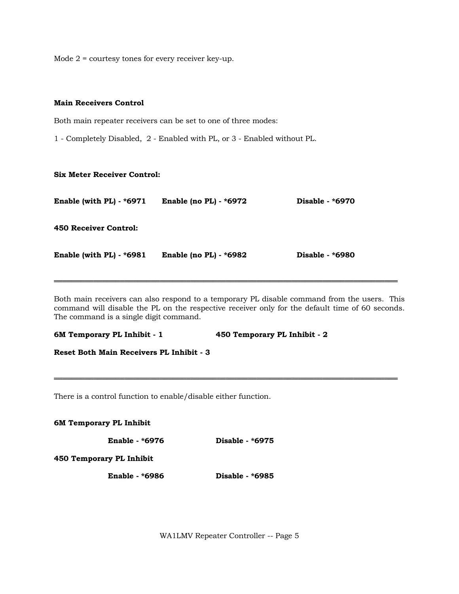Mode 2 = courtesy tones for every receiver key-up.

#### **Main Receivers Control**

Both main repeater receivers can be set to one of three modes:

1 - Completely Disabled, 2 - Enabled with PL, or 3 - Enabled without PL.

### **Six Meter Receiver Control:**

| Enable (with PL) $-$ *6971 | Enable (no PL) $-$ *6972 | Disable - $*6970$ |
|----------------------------|--------------------------|-------------------|
| 450 Receiver Control:      |                          |                   |
| Enable (with PL) $-$ *6981 | Enable (no PL) $-$ *6982 | Disable - $*6980$ |

Both main receivers can also respond to a temporary PL disable command from the users. This command will disable the PL on the respective receiver only for the default time of 60 seconds. The command is a single digit command.

══════════════════════════════════════════════════════════════════════════════

══════════════════════════════════════════════════════════════════════════════

**6M Temporary PL Inhibit - 1 450 Temporary PL Inhibit - 2**

**Reset Both Main Receivers PL Inhibit - 3**

There is a control function to enable/disable either function.

#### **6M Temporary PL Inhibit**

 **Enable - \*6976 Disable - \*6975** 

**450 Temporary PL Inhibit** 

 **Enable - \*6986 Disable - \*6985**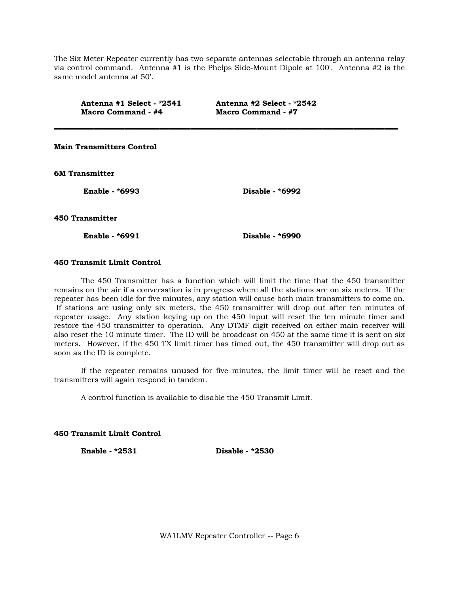The Six Meter Repeater currently has two separate antennas selectable through an antenna relay via control command. Antenna #1 is the Phelps Side-Mount Dipole at 100'. Antenna #2 is the same model antenna at 50'.

| Antenna #1 Select - *2541<br>Macro Command - #4 | Antenna #2 Select - *2542<br>Macro Command - #7 |  |
|-------------------------------------------------|-------------------------------------------------|--|
| Main Transmitters Control                       |                                                 |  |
| 6M Transmitter                                  |                                                 |  |
| <b>Enable - *6993</b>                           | Disable - $*6992$                               |  |
| <b>450 Transmitter</b>                          |                                                 |  |
| Enable - *6991                                  | Disable - *6990                                 |  |
|                                                 |                                                 |  |

#### **450 Transmit Limit Control**

 The 450 Transmitter has a function which will limit the time that the 450 transmitter remains on the air if a conversation is in progress where all the stations are on six meters. If the repeater has been idle for five minutes, any station will cause both main transmitters to come on. If stations are using only six meters, the 450 transmitter will drop out after ten minutes of repeater usage. Any station keying up on the 450 input will reset the ten minute timer and restore the 450 transmitter to operation. Any DTMF digit received on either main receiver will also reset the 10 minute timer. The ID will be broadcast on 450 at the same time it is sent on six meters. However, if the 450 TX limit timer has timed out, the 450 transmitter will drop out as soon as the ID is complete.

 If the repeater remains unused for five minutes, the limit timer will be reset and the transmitters will again respond in tandem.

A control function is available to disable the 450 Transmit Limit.

**450 Transmit Limit Control** 

 **Enable - \*2531 Disable - \*2530**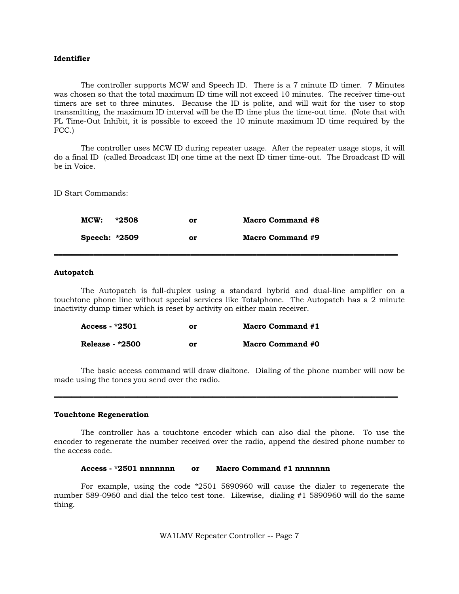## **Identifier**

 The controller supports MCW and Speech ID. There is a 7 minute ID timer. 7 Minutes was chosen so that the total maximum ID time will not exceed 10 minutes. The receiver time-out timers are set to three minutes. Because the ID is polite, and will wait for the user to stop transmitting, the maximum ID interval will be the ID time plus the time-out time. (Note that with PL Time-Out Inhibit, it is possible to exceed the 10 minute maximum ID time required by the FCC.)

 The controller uses MCW ID during repeater usage. After the repeater usage stops, it will do a final ID (called Broadcast ID) one time at the next ID timer time-out. The Broadcast ID will be in Voice.

ID Start Commands:

| MCW:            | *2508 | or | <b>Macro Command #8</b> |
|-----------------|-------|----|-------------------------|
| Speech: $*2509$ |       | or | Macro Command #9        |

══════════════════════════════════════════════════════════════════════════════

## **Autopatch**

 The Autopatch is full-duplex using a standard hybrid and dual-line amplifier on a touchtone phone line without special services like Totalphone. The Autopatch has a 2 minute inactivity dump timer which is reset by activity on either main receiver.

| Access - *2501         | or | Macro Command #1 |
|------------------------|----|------------------|
| <b>Release - *2500</b> | or | Macro Command #0 |

 The basic access command will draw dialtone. Dialing of the phone number will now be made using the tones you send over the radio.

══════════════════════════════════════════════════════════════════════════════

#### **Touchtone Regeneration**

 The controller has a touchtone encoder which can also dial the phone. To use the encoder to regenerate the number received over the radio, append the desired phone number to the access code.

#### **Access - \*2501 nnnnnnn or Macro Command #1 nnnnnnn**

 For example, using the code \*2501 5890960 will cause the dialer to regenerate the number 589-0960 and dial the telco test tone. Likewise, dialing #1 5890960 will do the same thing.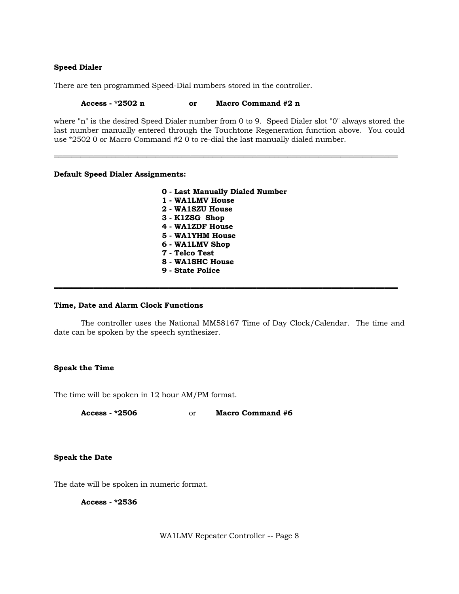## **Speed Dialer**

There are ten programmed Speed-Dial numbers stored in the controller.

#### **Access - \*2502 n or Macro Command #2 n**

where "n" is the desired Speed Dialer number from 0 to 9. Speed Dialer slot "0" always stored the last number manually entered through the Touchtone Regeneration function above. You could use \*2502 0 or Macro Command #2 0 to re-dial the last manually dialed number.

### **Default Speed Dialer Assignments:**

 **0 - Last Manually Dialed Number** 

══════════════════════════════════════════════════════════════════════════════

- **1 WA1LMV House**
- **2 WA1SZU House**
- **3 K1ZSG Shop**
- **4 WA1ZDF House**
- **5 WA1YHM House**
- **6 WA1LMV Shop**
- **7 Telco Test**
- **8 WA1SHC House**
- **9 State Police**

## **Time, Date and Alarm Clock Functions**

 The controller uses the National MM58167 Time of Day Clock/Calendar. The time and date can be spoken by the speech synthesizer.

══════════════════════════════════════════════════════════════════════════════

## **Speak the Time**

The time will be spoken in 12 hour AM/PM format.

 **Access - \*2506** or **Macro Command #6**

## **Speak the Date**

The date will be spoken in numeric format.

 **Access - \*2536**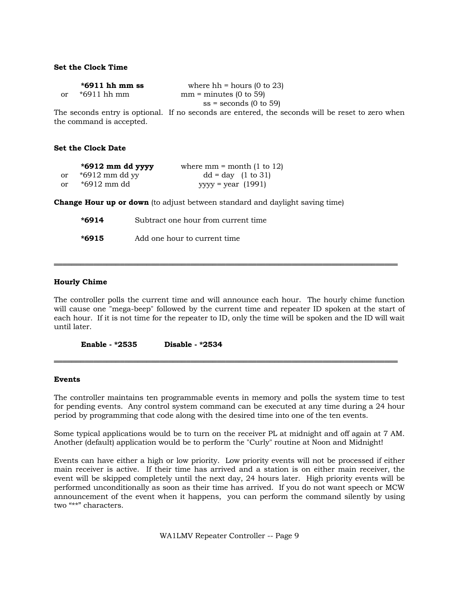## **Set the Clock Time**

|    | *6911 hh mm ss           | where $hh = hours (0 to 23)$                                                                     |
|----|--------------------------|--------------------------------------------------------------------------------------------------|
| or | $*6911$ hh mm            | $mm = minutes (0 to 59)$                                                                         |
|    |                          | $ss =$ seconds (0 to 59)                                                                         |
|    |                          | The seconds entry is optional. If no seconds are entered, the seconds will be reset to zero when |
|    | the command is accepted. |                                                                                                  |

## **Set the Clock Date**

|     | $*6912$ mm dd yyyy | where mm = month $(1 to 12)$ |
|-----|--------------------|------------------------------|
| or  | *6912 mm dd yy     | $dd = day$ (1 to 31)         |
| or. | *6912 mm dd        | $yyyy = year$ (1991)         |

**Change Hour up or down** (to adjust between standard and daylight saving time)

| *6914 | Subtract one hour from current time |
|-------|-------------------------------------|
| *6915 | Add one hour to current time        |

### **Hourly Chime**

The controller polls the current time and will announce each hour. The hourly chime function will cause one "mega-beep" followed by the current time and repeater ID spoken at the start of each hour. If it is not time for the repeater to ID, only the time will be spoken and the ID will wait until later.

══════════════════════════════════════════════════════════════════════════════

 **Enable - \*2535 Disable - \*2534**

#### **Events**

The controller maintains ten programmable events in memory and polls the system time to test for pending events. Any control system command can be executed at any time during a 24 hour period by programming that code along with the desired time into one of the ten events.

══════════════════════════════════════════════════════════════════════════════

Some typical applications would be to turn on the receiver PL at midnight and off again at 7 AM. Another (default) application would be to perform the "Curly" routine at Noon and Midnight!

Events can have either a high or low priority. Low priority events will not be processed if either main receiver is active. If their time has arrived and a station is on either main receiver, the event will be skipped completely until the next day, 24 hours later. High priority events will be performed unconditionally as soon as their time has arrived. If you do not want speech or MCW announcement of the event when it happens, you can perform the command silently by using two "\*\*" characters.

WA1LMV Repeater Controller -- Page 9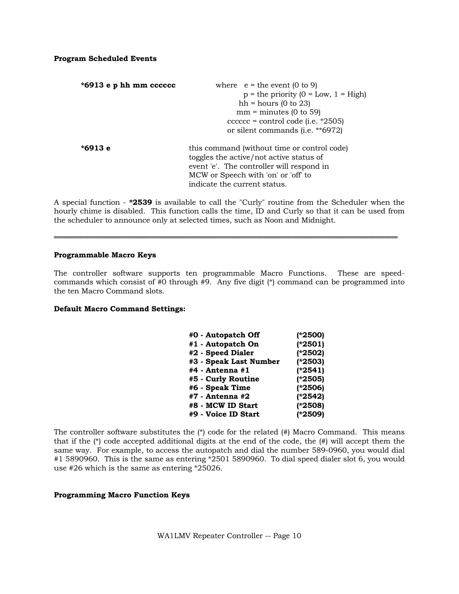## **Program Scheduled Events**

| $*6913$ e p hh mm cccccc | where $e =$ the event (0 to 9)              |
|--------------------------|---------------------------------------------|
|                          | $p =$ the priority (0 = Low, 1 = High)      |
|                          | $hh = hours (0 to 23)$                      |
|                          | $mm = minutes (0 to 59)$                    |
|                          | $cccccc = control code (i.e. *2505)$        |
|                          | or silent commands (i.e. **6972)            |
|                          |                                             |
| *6913 e                  | this command (without time or control code) |
|                          | toggles the active/not active status of     |
|                          | event 'e'. The controller will respond in   |
|                          | MCW or Speech with 'on' or 'off to          |
|                          | indicate the current status.                |

A special function - **\*2539** is available to call the "Curly" routine from the Scheduler when the hourly chime is disabled. This function calls the time, ID and Curly so that it can be used from the scheduler to announce only at selected times, such as Noon and Midnight.

══════════════════════════════════════════════════════════════════════════════

## **Programmable Macro Keys**

The controller software supports ten programmable Macro Functions. These are speedcommands which consist of #0 through #9. Any five digit (\*) command can be programmed into the ten Macro Command slots.

## **Default Macro Command Settings:**

| #0 - Autopatch Off     | (*2500)   |
|------------------------|-----------|
| #1 - Autopatch On      | (*2501)   |
| #2 - Speed Dialer      | (*2502)   |
| #3 - Speak Last Number | $(*2503)$ |
| #4 - Antenna #1        | (*2541)   |
| #5 - Curly Routine     | (*2505)   |
| #6 - Speak Time        | (*2506)   |
| $#7$ - Antenna $#2$    | (*2542)   |
| #8 - MCW ID Start      | (*2508)   |
| #9 - Voice ID Start    | (*2509)   |

The controller software substitutes the  $(*)$  code for the related  $(*)$  Macro Command. This means that if the (\*) code accepted additional digits at the end of the code, the (#) will accept them the same way. For example, to access the autopatch and dial the number 589-0960, you would dial #1 5890960. This is the same as entering \*2501 5890960. To dial speed dialer slot 6, you would use #26 which is the same as entering \*25026.

## **Programming Macro Function Keys**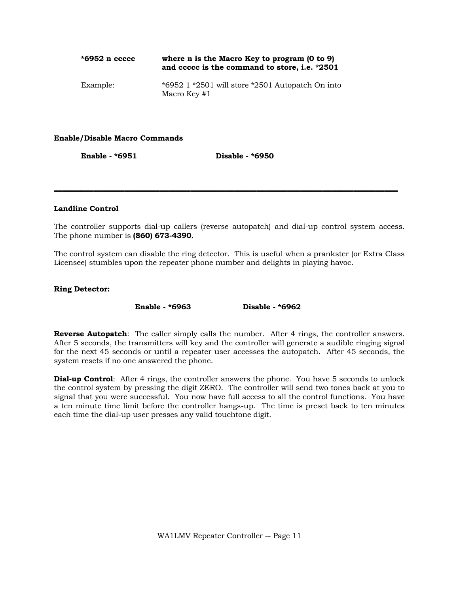| $*6952$ n ccccc | where n is the Macro Key to program (0 to 9)<br>and ccccc is the command to store, i.e. *2501 |
|-----------------|-----------------------------------------------------------------------------------------------|
| Example:        | $*6952$ 1 $*2501$ will store $*2501$ Autopatch On into<br>Macro Key $#1$                      |

## **Enable/Disable Macro Commands**

 **Enable - \*6951 Disable - \*6950** 

### **Landline Control**

The controller supports dial-up callers (reverse autopatch) and dial-up control system access. The phone number is **(860) 673-4390**.

══════════════════════════════════════════════════════════════════════════════

The control system can disable the ring detector. This is useful when a prankster (or Extra Class Licensee) stumbles upon the repeater phone number and delights in playing havoc.

## **Ring Detector:**

 **Enable - \*6963 Disable - \*6962**

**Reverse Autopatch**: The caller simply calls the number. After 4 rings, the controller answers. After 5 seconds, the transmitters will key and the controller will generate a audible ringing signal for the next 45 seconds or until a repeater user accesses the autopatch. After 45 seconds, the system resets if no one answered the phone.

**Dial-up Control**: After 4 rings, the controller answers the phone. You have 5 seconds to unlock the control system by pressing the digit ZERO. The controller will send two tones back at you to signal that you were successful. You now have full access to all the control functions. You have a ten minute time limit before the controller hangs-up. The time is preset back to ten minutes each time the dial-up user presses any valid touchtone digit.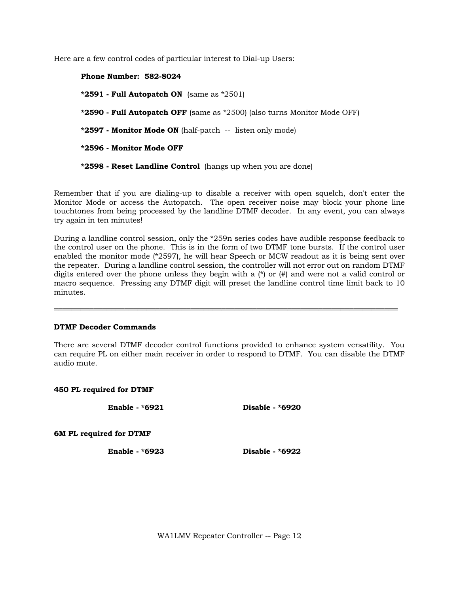Here are a few control codes of particular interest to Dial-up Users:

 **Phone Number: 582-8024 \*2591 - Full Autopatch ON** (same as \*2501)  **\*2590 - Full Autopatch OFF** (same as \*2500) (also turns Monitor Mode OFF)  **\*2597 - Monitor Mode ON** (half-patch -- listen only mode)  **\*2596 - Monitor Mode OFF \*2598 - Reset Landline Control** (hangs up when you are done)

Remember that if you are dialing-up to disable a receiver with open squelch, don't enter the Monitor Mode or access the Autopatch. The open receiver noise may block your phone line touchtones from being processed by the landline DTMF decoder. In any event, you can always try again in ten minutes!

During a landline control session, only the \*259n series codes have audible response feedback to the control user on the phone. This is in the form of two DTMF tone bursts. If the control user enabled the monitor mode (\*2597), he will hear Speech or MCW readout as it is being sent over the repeater. During a landline control session, the controller will not error out on random DTMF digits entered over the phone unless they begin with a (\*) or (#) and were not a valid control or macro sequence. Pressing any DTMF digit will preset the landline control time limit back to 10 minutes.

## **DTMF Decoder Commands**

There are several DTMF decoder control functions provided to enhance system versatility. You can require PL on either main receiver in order to respond to DTMF. You can disable the DTMF audio mute.

══════════════════════════════════════════════════════════════════════════════

**450 PL required for DTMF** 

 **Enable - \*6921 Disable - \*6920** 

**6M PL required for DTMF** 

 **Enable - \*6923 Disable - \*6922**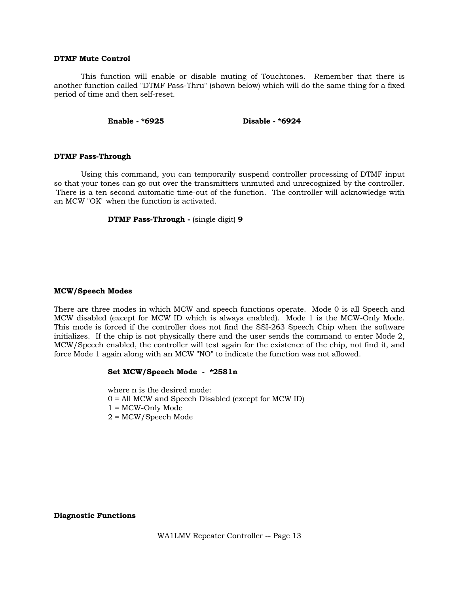#### **DTMF Mute Control**

 This function will enable or disable muting of Touchtones. Remember that there is another function called "DTMF Pass-Thru" (shown below) which will do the same thing for a fixed period of time and then self-reset.

 **Enable - \*6925 Disable - \*6924** 

#### **DTMF Pass-Through**

 Using this command, you can temporarily suspend controller processing of DTMF input so that your tones can go out over the transmitters unmuted and unrecognized by the controller. There is a ten second automatic time-out of the function. The controller will acknowledge with an MCW "OK" when the function is activated.

 **DTMF Pass-Through -** (single digit) **9**

#### **MCW/Speech Modes**

There are three modes in which MCW and speech functions operate. Mode 0 is all Speech and MCW disabled (except for MCW ID which is always enabled). Mode 1 is the MCW-Only Mode. This mode is forced if the controller does not find the SSI-263 Speech Chip when the software initializes. If the chip is not physically there and the user sends the command to enter Mode 2, MCW/Speech enabled, the controller will test again for the existence of the chip, not find it, and force Mode 1 again along with an MCW "NO" to indicate the function was not allowed.

#### **Set MCW/Speech Mode - \*2581n**

 where n is the desired mode: 0 = All MCW and Speech Disabled (except for MCW ID) 1 = MCW-Only Mode 2 = MCW/Speech Mode

**Diagnostic Functions**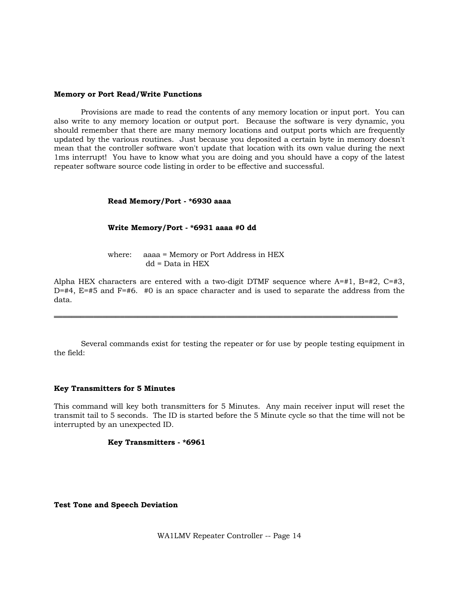#### **Memory or Port Read/Write Functions**

 Provisions are made to read the contents of any memory location or input port. You can also write to any memory location or output port. Because the software is very dynamic, you should remember that there are many memory locations and output ports which are frequently updated by the various routines. Just because you deposited a certain byte in memory doesn't mean that the controller software won't update that location with its own value during the next 1ms interrupt! You have to know what you are doing and you should have a copy of the latest repeater software source code listing in order to be effective and successful.

#### **Read Memory/Port - \*6930 aaaa**

#### **Write Memory/Port - \*6931 aaaa #0 dd**

 where: aaaa = Memory or Port Address in HEX dd = Data in HEX

Alpha HEX characters are entered with a two-digit DTMF sequence where  $A=#1$ ,  $B=#2$ ,  $C=#3$ ,  $D=44$ ,  $E=45$  and  $F=46$ .  $\neq 0$  is an space character and is used to separate the address from the data.

══════════════════════════════════════════════════════════════════════════════

 Several commands exist for testing the repeater or for use by people testing equipment in the field:

## **Key Transmitters for 5 Minutes**

This command will key both transmitters for 5 Minutes. Any main receiver input will reset the transmit tail to 5 seconds. The ID is started before the 5 Minute cycle so that the time will not be interrupted by an unexpected ID.

#### **Key Transmitters - \*6961**

**Test Tone and Speech Deviation**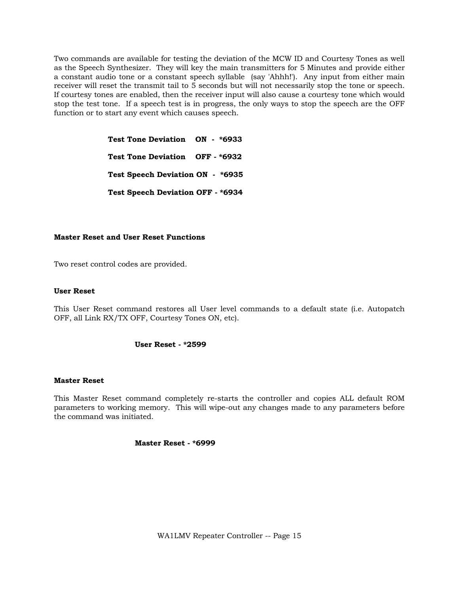Two commands are available for testing the deviation of the MCW ID and Courtesy Tones as well as the Speech Synthesizer. They will key the main transmitters for 5 Minutes and provide either a constant audio tone or a constant speech syllable (say 'Ahhh!'). Any input from either main receiver will reset the transmit tail to 5 seconds but will not necessarily stop the tone or speech. If courtesy tones are enabled, then the receiver input will also cause a courtesy tone which would stop the test tone. If a speech test is in progress, the only ways to stop the speech are the OFF function or to start any event which causes speech.

> **Test Tone Deviation ON - \*6933 Test Tone Deviation OFF - \*6932 Test Speech Deviation ON - \*6935 Test Speech Deviation OFF - \*6934**

## **Master Reset and User Reset Functions**

Two reset control codes are provided.

### **User Reset**

This User Reset command restores all User level commands to a default state (i.e. Autopatch OFF, all Link RX/TX OFF, Courtesy Tones ON, etc).

 **User Reset - \*2599**

#### **Master Reset**

This Master Reset command completely re-starts the controller and copies ALL default ROM parameters to working memory. This will wipe-out any changes made to any parameters before the command was initiated.

 **Master Reset - \*6999**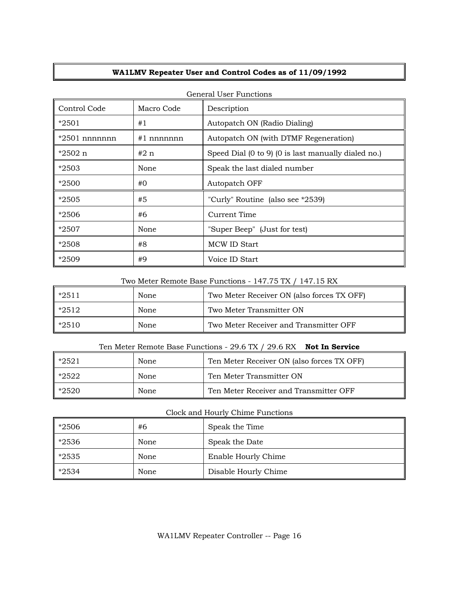## **WA1LMV Repeater User and Control Codes as of 11/09/1992**

|                 |              | acherar ober i anchono                              |
|-----------------|--------------|-----------------------------------------------------|
| Control Code    | Macro Code   | Description                                         |
| $*2501$         | #1           | Autopatch ON (Radio Dialing)                        |
| $*2501$ nnnnnnn | $#1$ nnnnnnn | Autopatch ON (with DTMF Regeneration)               |
| *2502 n         | #2 n         | Speed Dial (0 to 9) (0 is last manually dialed no.) |
| $*2503$         | None         | Speak the last dialed number                        |
| $*2500$         | #O           | Autopatch OFF                                       |
| $*2505$         | #5           | "Curly" Routine (also see *2539)                    |
| $*2506$         | #6           | Current Time                                        |
| $*2507$         | None         | "Super Beep" (Just for test)                        |
| *2508           | #8           | MCW ID Start                                        |
| *2509           | #9           | Voice ID Start                                      |

#### General User Functions

## Two Meter Remote Base Functions - 147.75 TX / 147.15 RX

| $*2511$  | None | Two Meter Receiver ON (also forces TX OFF) |
|----------|------|--------------------------------------------|
| l *2512  | None | Two Meter Transmitter ON                   |
| ll *2510 | None | Two Meter Receiver and Transmitter OFF     |

## Ten Meter Remote Base Functions - 29.6 TX / 29.6 RX **Not In Service**

| $*2521$           | None | Ten Meter Receiver ON (also forces TX OFF) |
|-------------------|------|--------------------------------------------|
| $\parallel$ *2522 | None | Ten Meter Transmitter ON                   |
| $\parallel$ *2520 | None | Ten Meter Receiver and Transmitter OFF     |

## Clock and Hourly Chime Functions

| *2506   | #6   | Speak the Time       |
|---------|------|----------------------|
| *2536   | None | Speak the Date       |
| $*2535$ | None | Enable Hourly Chime  |
| *2534   | None | Disable Hourly Chime |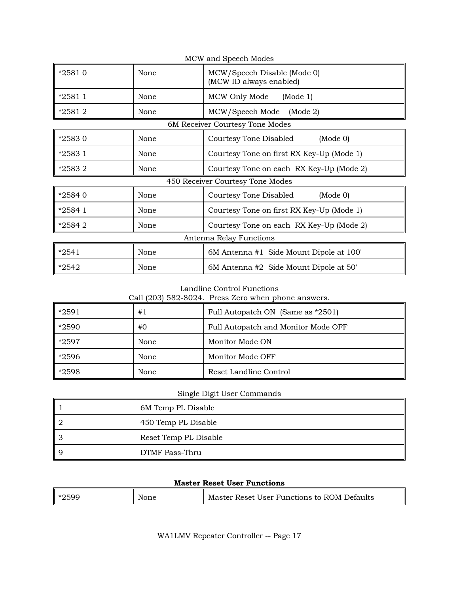| MCW and Speech Modes             |      |                                                        |
|----------------------------------|------|--------------------------------------------------------|
| $*25810$                         | None | MCW/Speech Disable (Mode 0)<br>(MCW ID always enabled) |
| $*25811$                         | None | MCW Only Mode<br>(Mode 1)                              |
| *25812                           | None | MCW/Speech Mode<br>(Mode 2)                            |
| 6M Receiver Courtesy Tone Modes  |      |                                                        |
| *25830                           | None | Courtesy Tone Disabled<br>(Mode 0)                     |
| *2583 1                          | None | Courtesy Tone on first RX Key-Up (Mode 1)              |
| *25832                           | None | Courtesy Tone on each RX Key-Up (Mode 2)               |
| 450 Receiver Courtesy Tone Modes |      |                                                        |
| $*25840$                         | None | Courtesy Tone Disabled<br>(Mode 0)                     |
| $*25841$                         | None | Courtesy Tone on first RX Key-Up (Mode 1)              |
| *2584 2                          | None | Courtesy Tone on each RX Key-Up (Mode 2)               |
| Antenna Relay Functions          |      |                                                        |
| $*2541$                          | None | 6M Antenna #1 Side Mount Dipole at 100'                |
| $*2542$                          | None | 6M Antenna #2 Side Mount Dipole at 50'                 |

# Landline Control Functions

| Call (203) 582-8024. Press Zero when phone answers. |      |                                     |
|-----------------------------------------------------|------|-------------------------------------|
| $\ $ *2591                                          | #1   | Full Autopatch ON (Same as *2501)   |
| ∥ *2590                                             | #0   | Full Autopatch and Monitor Mode OFF |
| ∥ *2597                                             | None | Monitor Mode ON                     |
| $*2596$                                             | None | Monitor Mode OFF                    |
| *2598                                               | None | Reset Landline Control              |

## Single Digit User Commands

|     | 6M Temp PL Disable    |  |
|-----|-----------------------|--|
| ، ا | 450 Temp PL Disable   |  |
| II. | Reset Temp PL Disable |  |
| l s | DTMF Pass-Thru        |  |

## **Master Reset User Functions**

| $\mid$ *2599<br>None | Master Reset User Functions to ROM Defaults |
|----------------------|---------------------------------------------|
|----------------------|---------------------------------------------|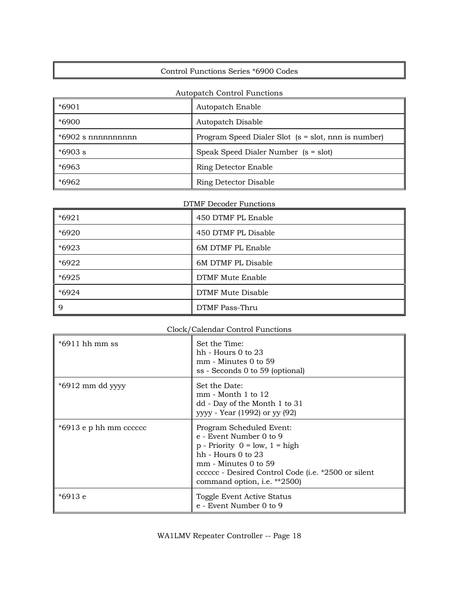|--|

## Autopatch Control Functions

| $*6901$              | <b>Autopatch Enable</b>                             |
|----------------------|-----------------------------------------------------|
| *6900                | Autopatch Disable                                   |
| l *6902 s nnnnnnnnnn | Program Speed Dialer Slot (s = slot, nnn is number) |
| $*6903$ s            | Speak Speed Dialer Number (s = slot)                |
| ∥ *6963              | <b>Ring Detector Enable</b>                         |
| ∥ *6962              | <b>Ring Detector Disable</b>                        |

## DTMF Decoder Functions

| $*6921$        | 450 DTMF PL Enable  |
|----------------|---------------------|
| *6920          | 450 DTMF PL Disable |
| *6923          | 6M DTMF PL Enable   |
| *6922          | 6M DTMF PL Disable  |
| *6925          | DTMF Mute Enable    |
| $*6924$        | DTMF Mute Disable   |
| $\mathsf{I}$ 9 | DTMF Pass-Thru      |

## Clock/Calendar Control Functions

| $*6911$ hh mm ss         | Set the Time:<br>$hh - Hours 0 to 23$<br>mm - Minutes 0 to 59<br>ss - Seconds 0 to 59 (optional)                                                                                                                                          |
|--------------------------|-------------------------------------------------------------------------------------------------------------------------------------------------------------------------------------------------------------------------------------------|
| *6912 mm dd yyyy         | Set the Date:<br>$mm$ - Month 1 to 12<br>dd - Day of the Month 1 to 31<br>yyyy - Year (1992) or yy (92)                                                                                                                                   |
| $*6913$ e p hh mm cccccc | Program Scheduled Event:<br>e - Event Number 0 to 9<br>$p -$ Priority $0 =$ low, $1 =$ high<br>$hh - Hours 0 to 23$<br>mm - Minutes 0 to 59<br>cccccc - Desired Control Code (i.e. *2500 or silent<br>command option, <i>i.e.</i> **2500) |
| *6913 e                  | Toggle Event Active Status<br>e - Event Number 0 to 9                                                                                                                                                                                     |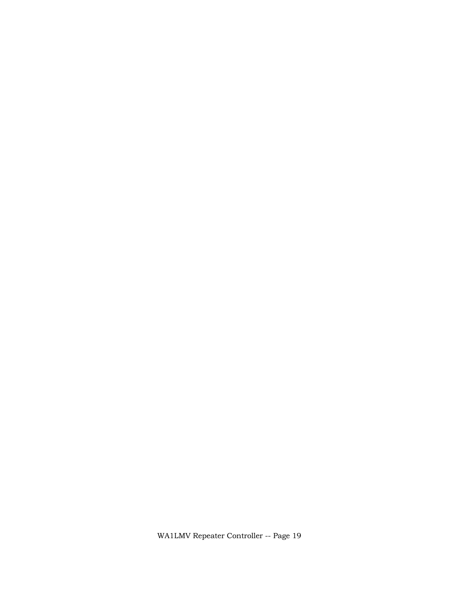WA1LMV Repeater Controller -- Page 19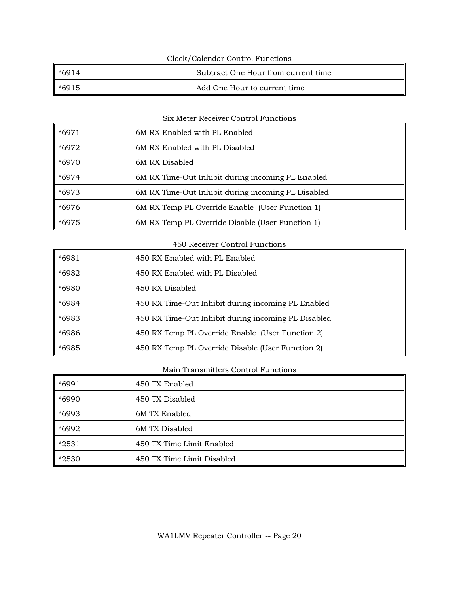| Clock/Calendar Control Functions |                                     |  |
|----------------------------------|-------------------------------------|--|
| $*6914$                          | Subtract One Hour from current time |  |
| $*6915$                          | Add One Hour to current time        |  |

## Six Meter Receiver Control Functions

| *6971 | 6M RX Enabled with PL Enabled                      |
|-------|----------------------------------------------------|
| *6972 | 6M RX Enabled with PL Disabled                     |
| *6970 | 6M RX Disabled                                     |
| *6974 | 6M RX Time-Out Inhibit during incoming PL Enabled  |
| *6973 | 6M RX Time-Out Inhibit during incoming PL Disabled |
| *6976 | 6M RX Temp PL Override Enable (User Function 1)    |
| *6975 | 6M RX Temp PL Override Disable (User Function 1)   |

## 450 Receiver Control Functions

| *6981 | 450 RX Enabled with PL Enabled                      |
|-------|-----------------------------------------------------|
| *6982 | 450 RX Enabled with PL Disabled                     |
| *6980 | 450 RX Disabled                                     |
| *6984 | 450 RX Time-Out Inhibit during incoming PL Enabled  |
| *6983 | 450 RX Time-Out Inhibit during incoming PL Disabled |
| *6986 | 450 RX Temp PL Override Enable (User Function 2)    |
| *6985 | 450 RX Temp PL Override Disable (User Function 2)   |

## Main Transmitters Control Functions

| $*6991$ | 450 TX Enabled             |
|---------|----------------------------|
| *6990   | 450 TX Disabled            |
| *6993   | 6M TX Enabled              |
| *6992   | 6M TX Disabled             |
| $*2531$ | 450 TX Time Limit Enabled  |
| $*2530$ | 450 TX Time Limit Disabled |